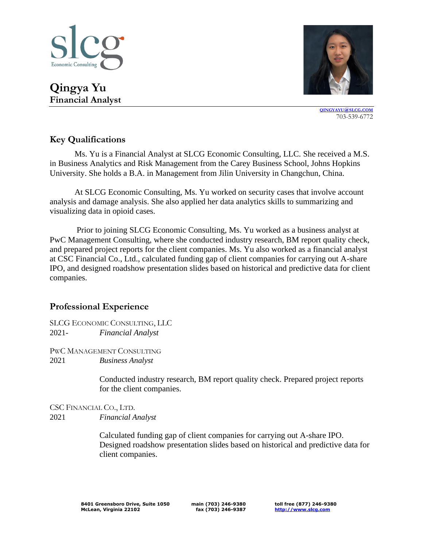



**[QINGYAYU](mailto:briantlyu@slcg.com)@SLCG.COM** 703-539-6772

## **Key Qualifications**

Ms. Yu is a Financial Analyst at SLCG Economic Consulting, LLC. She received a M.S. in Business Analytics and Risk Management from the Carey Business School, Johns Hopkins University. She holds a B.A. in Management from Jilin University in Changchun, China.

At SLCG Economic Consulting, Ms. Yu worked on security cases that involve account analysis and damage analysis. She also applied her data analytics skills to summarizing and visualizing data in opioid cases.

Prior to joining SLCG Economic Consulting, Ms. Yu worked as a business analyst at PwC Management Consulting, where she conducted industry research, BM report quality check, and prepared project reports for the client companies. Ms. Yu also worked as a financial analyst at CSC Financial Co., Ltd., calculated funding gap of client companies for carrying out A-share IPO, and designed roadshow presentation slides based on historical and predictive data for client companies.

## **Professional Experience**

SLCG ECONOMIC CONSULTING, LLC 2021- *Financial Analyst*

PWC MANAGEMENT CONSULTING 2021 *Business Analyst*

> Conducted industry research, BM report quality check. Prepared project reports for the client companies.

CSC FINANCIAL CO., LTD. 2021 *Financial Analyst*

> Calculated funding gap of client companies for carrying out A-share IPO. Designed roadshow presentation slides based on historical and predictive data for client companies.

**main (703) 246-9380 fax (703) 246-9387** **toll free (877) 246-9380 [http://www.slcg.com](http://www.slcg.com/)**